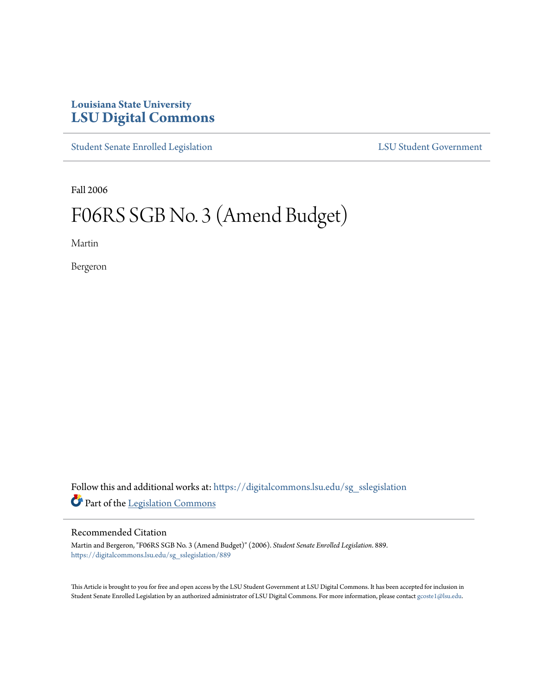## **Louisiana State University [LSU Digital Commons](https://digitalcommons.lsu.edu?utm_source=digitalcommons.lsu.edu%2Fsg_sslegislation%2F889&utm_medium=PDF&utm_campaign=PDFCoverPages)**

[Student Senate Enrolled Legislation](https://digitalcommons.lsu.edu/sg_sslegislation?utm_source=digitalcommons.lsu.edu%2Fsg_sslegislation%2F889&utm_medium=PDF&utm_campaign=PDFCoverPages) [LSU Student Government](https://digitalcommons.lsu.edu/sg?utm_source=digitalcommons.lsu.edu%2Fsg_sslegislation%2F889&utm_medium=PDF&utm_campaign=PDFCoverPages)

Fall 2006

## F06RS SGB No. 3 (Amend Budget)

Martin

Bergeron

Follow this and additional works at: [https://digitalcommons.lsu.edu/sg\\_sslegislation](https://digitalcommons.lsu.edu/sg_sslegislation?utm_source=digitalcommons.lsu.edu%2Fsg_sslegislation%2F889&utm_medium=PDF&utm_campaign=PDFCoverPages) Part of the [Legislation Commons](http://network.bepress.com/hgg/discipline/859?utm_source=digitalcommons.lsu.edu%2Fsg_sslegislation%2F889&utm_medium=PDF&utm_campaign=PDFCoverPages)

## Recommended Citation

Martin and Bergeron, "F06RS SGB No. 3 (Amend Budget)" (2006). *Student Senate Enrolled Legislation*. 889. [https://digitalcommons.lsu.edu/sg\\_sslegislation/889](https://digitalcommons.lsu.edu/sg_sslegislation/889?utm_source=digitalcommons.lsu.edu%2Fsg_sslegislation%2F889&utm_medium=PDF&utm_campaign=PDFCoverPages)

This Article is brought to you for free and open access by the LSU Student Government at LSU Digital Commons. It has been accepted for inclusion in Student Senate Enrolled Legislation by an authorized administrator of LSU Digital Commons. For more information, please contact [gcoste1@lsu.edu.](mailto:gcoste1@lsu.edu)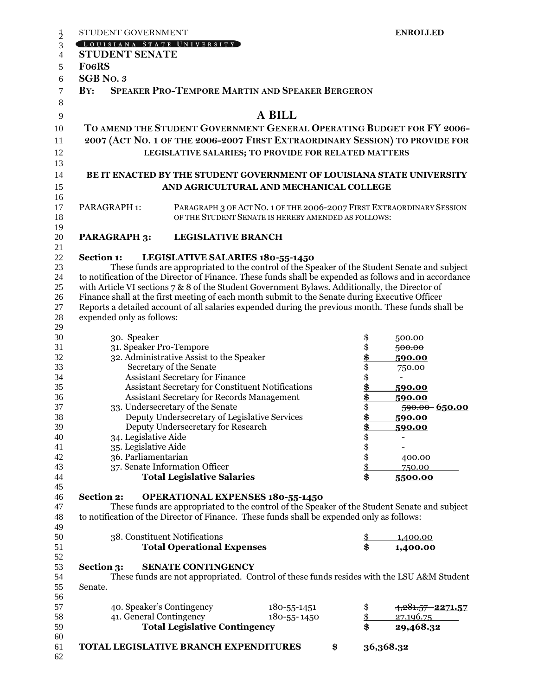| $\frac{1}{2}$  | STUDENT GOVERNMENT                                                                                                                                                                               |                                                                       |                                                     |    | <b>ENROLLED</b> |                                                                                              |  |
|----------------|--------------------------------------------------------------------------------------------------------------------------------------------------------------------------------------------------|-----------------------------------------------------------------------|-----------------------------------------------------|----|-----------------|----------------------------------------------------------------------------------------------|--|
| 3              | [LOUISIANA STATE UNIVERSITY]                                                                                                                                                                     |                                                                       |                                                     |    |                 |                                                                                              |  |
| $\overline{4}$ | <b>STUDENT SENATE</b>                                                                                                                                                                            |                                                                       |                                                     |    |                 |                                                                                              |  |
| 5              | <b>Fo6RS</b>                                                                                                                                                                                     |                                                                       |                                                     |    |                 |                                                                                              |  |
| 6              | <b>SGB</b> No. 3                                                                                                                                                                                 |                                                                       |                                                     |    |                 |                                                                                              |  |
| 7              | <b>SPEAKER PRO-TEMPORE MARTIN AND SPEAKER BERGERON</b><br>BY:                                                                                                                                    |                                                                       |                                                     |    |                 |                                                                                              |  |
| 8              |                                                                                                                                                                                                  |                                                                       |                                                     |    |                 |                                                                                              |  |
| 9              |                                                                                                                                                                                                  |                                                                       | A BILL                                              |    |                 |                                                                                              |  |
| 10             |                                                                                                                                                                                                  | TO AMEND THE STUDENT GOVERNMENT GENERAL OPERATING BUDGET FOR FY 2006- |                                                     |    |                 |                                                                                              |  |
| 11             | 2007 (ACT NO. 1 OF THE 2006-2007 FIRST EXTRAORDINARY SESSION) TO PROVIDE FOR                                                                                                                     |                                                                       |                                                     |    |                 |                                                                                              |  |
|                |                                                                                                                                                                                                  |                                                                       |                                                     |    |                 |                                                                                              |  |
| 12             |                                                                                                                                                                                                  | LEGISLATIVE SALARIES; TO PROVIDE FOR RELATED MATTERS                  |                                                     |    |                 |                                                                                              |  |
| 13             |                                                                                                                                                                                                  |                                                                       |                                                     |    |                 |                                                                                              |  |
| 14             | BE IT ENACTED BY THE STUDENT GOVERNMENT OF LOUISIANA STATE UNIVERSITY<br>AND AGRICULTURAL AND MECHANICAL COLLEGE                                                                                 |                                                                       |                                                     |    |                 |                                                                                              |  |
| 15             |                                                                                                                                                                                                  |                                                                       |                                                     |    |                 |                                                                                              |  |
| 16<br>17       | PARAGRAPH 1:                                                                                                                                                                                     |                                                                       |                                                     |    |                 | PARAGRAPH 3 OF ACT NO. 1 OF THE 2006-2007 FIRST EXTRAORDINARY SESSION                        |  |
| 18             |                                                                                                                                                                                                  |                                                                       | OF THE STUDENT SENATE IS HEREBY AMENDED AS FOLLOWS: |    |                 |                                                                                              |  |
| 19             |                                                                                                                                                                                                  |                                                                       |                                                     |    |                 |                                                                                              |  |
| 20             | <b>PARAGRAPH 3:</b>                                                                                                                                                                              | <b>LEGISLATIVE BRANCH</b>                                             |                                                     |    |                 |                                                                                              |  |
| 21             |                                                                                                                                                                                                  |                                                                       |                                                     |    |                 |                                                                                              |  |
| 22             | <b>Section 1:</b>                                                                                                                                                                                | LEGISLATIVE SALARIES 180-55-1450                                      |                                                     |    |                 |                                                                                              |  |
| 23             |                                                                                                                                                                                                  |                                                                       |                                                     |    |                 | These funds are appropriated to the control of the Speaker of the Student Senate and subject |  |
| 24             | to notification of the Director of Finance. These funds shall be expended as follows and in accordance                                                                                           |                                                                       |                                                     |    |                 |                                                                                              |  |
| 25<br>26       | with Article VI sections 7 & 8 of the Student Government Bylaws. Additionally, the Director of<br>Finance shall at the first meeting of each month submit to the Senate during Executive Officer |                                                                       |                                                     |    |                 |                                                                                              |  |
| 27             | Reports a detailed account of all salaries expended during the previous month. These funds shall be                                                                                              |                                                                       |                                                     |    |                 |                                                                                              |  |
| 28             | expended only as follows:                                                                                                                                                                        |                                                                       |                                                     |    |                 |                                                                                              |  |
| 29             |                                                                                                                                                                                                  |                                                                       |                                                     |    |                 |                                                                                              |  |
| 30             | 30. Speaker                                                                                                                                                                                      |                                                                       |                                                     |    | \$              | 500.00                                                                                       |  |
| 31             | 31. Speaker Pro-Tempore                                                                                                                                                                          |                                                                       |                                                     |    | \$              | 500.00                                                                                       |  |
| 32             | 32. Administrative Assist to the Speaker                                                                                                                                                         |                                                                       |                                                     |    | $\frac{3}{3}$   | 590.00                                                                                       |  |
| 33             | Secretary of the Senate                                                                                                                                                                          |                                                                       |                                                     |    |                 | 750.00                                                                                       |  |
| 34<br>35       | <b>Assistant Secretary for Finance</b><br>Assistant Secretary for Constituent Notifications                                                                                                      |                                                                       |                                                     |    | \$              |                                                                                              |  |
| 36             | <b>Assistant Secretary for Records Management</b>                                                                                                                                                |                                                                       |                                                     |    | \$              | 590.00<br>590.00                                                                             |  |
| 37             | 33. Undersecretary of the Senate                                                                                                                                                                 |                                                                       |                                                     |    | \$<br>\$        | 590.00 650.00                                                                                |  |
| 38             | Deputy Undersecretary of Legislative Services                                                                                                                                                    |                                                                       |                                                     |    | \$              | 590.00                                                                                       |  |
| 39             |                                                                                                                                                                                                  | Deputy Undersecretary for Research                                    |                                                     |    | \$              | <u>590.00</u>                                                                                |  |
| 40             | 34. Legislative Aide                                                                                                                                                                             |                                                                       |                                                     |    | \$              |                                                                                              |  |
| 41             | 35. Legislative Aide                                                                                                                                                                             |                                                                       |                                                     |    | \$\$\$          |                                                                                              |  |
| 42             |                                                                                                                                                                                                  | 36. Parliamentarian                                                   |                                                     |    |                 | 400.00                                                                                       |  |
| 43             |                                                                                                                                                                                                  | 37. Senate Information Officer<br><b>Total Legislative Salaries</b>   |                                                     |    | \$              | 750.00                                                                                       |  |
| 44<br>45       |                                                                                                                                                                                                  |                                                                       |                                                     |    |                 | 5500.00                                                                                      |  |
| 46             | <b>Section 2:</b>                                                                                                                                                                                | <b>OPERATIONAL EXPENSES 180-55-1450</b>                               |                                                     |    |                 |                                                                                              |  |
| 47             |                                                                                                                                                                                                  |                                                                       |                                                     |    |                 | These funds are appropriated to the control of the Speaker of the Student Senate and subject |  |
| 48             | to notification of the Director of Finance. These funds shall be expended only as follows:                                                                                                       |                                                                       |                                                     |    |                 |                                                                                              |  |
| 49             |                                                                                                                                                                                                  |                                                                       |                                                     |    |                 |                                                                                              |  |
| 50             |                                                                                                                                                                                                  | 38. Constituent Notifications                                         |                                                     |    | \$              | 1,400.00                                                                                     |  |
| 51             |                                                                                                                                                                                                  | <b>Total Operational Expenses</b>                                     |                                                     |    | \$              | 1,400.00                                                                                     |  |
| 52<br>53       | Section 3:                                                                                                                                                                                       | <b>SENATE CONTINGENCY</b>                                             |                                                     |    |                 |                                                                                              |  |
| 54             |                                                                                                                                                                                                  |                                                                       |                                                     |    |                 | These funds are not appropriated. Control of these funds resides with the LSU A&M Student    |  |
| 55             | Senate.                                                                                                                                                                                          |                                                                       |                                                     |    |                 |                                                                                              |  |
| 56             |                                                                                                                                                                                                  |                                                                       |                                                     |    |                 |                                                                                              |  |
| 57             | 40. Speaker's Contingency                                                                                                                                                                        |                                                                       | 180-55-1451                                         |    | \$              | 4,281.57 2271.57                                                                             |  |
| 58             | 41. General Contingency                                                                                                                                                                          |                                                                       | 180-55-1450                                         |    | $\frac{1}{2}$   | 27,196.75                                                                                    |  |
| 59             |                                                                                                                                                                                                  | \$<br><b>Total Legislative Contingency</b>                            |                                                     |    |                 | 29,468.32                                                                                    |  |
| 60             |                                                                                                                                                                                                  |                                                                       |                                                     |    |                 |                                                                                              |  |
| 61<br>62       | TOTAL LEGISLATIVE BRANCH EXPENDITURES                                                                                                                                                            |                                                                       |                                                     | \$ |                 | 36,368.32                                                                                    |  |
|                |                                                                                                                                                                                                  |                                                                       |                                                     |    |                 |                                                                                              |  |